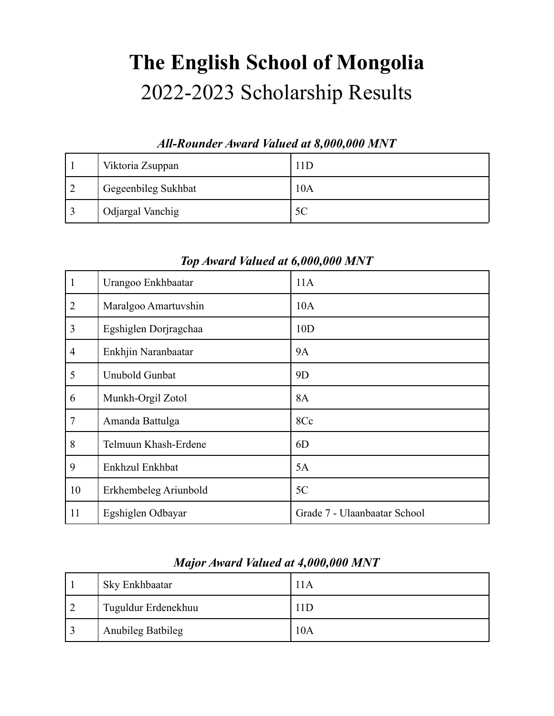# **The English School of Mongolia** 2022-2023 Scholarship Results

#### *All-Rounder Award Valued at 8,000,000 MNT*

| Viktoria Zsuppan    | 11D |
|---------------------|-----|
| Gegeenbileg Sukhbat | 10A |
| Odjargal Vanchig    | 5C  |

| $\mathbf{1}$   | Urangoo Enkhbaatar    | 11A                          |
|----------------|-----------------------|------------------------------|
| $\overline{2}$ | Maralgoo Amartuvshin  | 10A                          |
| $\mathfrak{Z}$ | Egshiglen Dorjragchaa | 10D                          |
| $\overline{4}$ | Enkhjin Naranbaatar   | <b>9A</b>                    |
| 5              | Unubold Gunbat        | 9D                           |
| 6              | Munkh-Orgil Zotol     | <b>8A</b>                    |
| $\overline{7}$ | Amanda Battulga       | 8Cc                          |
| 8              | Telmuun Khash-Erdene  | 6D                           |
| 9              | Enkhzul Enkhbat       | 5A                           |
| 10             | Erkhembeleg Ariunbold | 5C                           |
| 11             | Egshiglen Odbayar     | Grade 7 - Ulaanbaatar School |

## *Top Award Valued at 6,000,000 MNT*

### *Major Award Valued at 4,000,000 MNT*

| Sky Enkhbaatar      | l 1 A |
|---------------------|-------|
| Tuguldur Erdenekhuu | 1D    |
| Anubileg Batbileg   | 10A   |